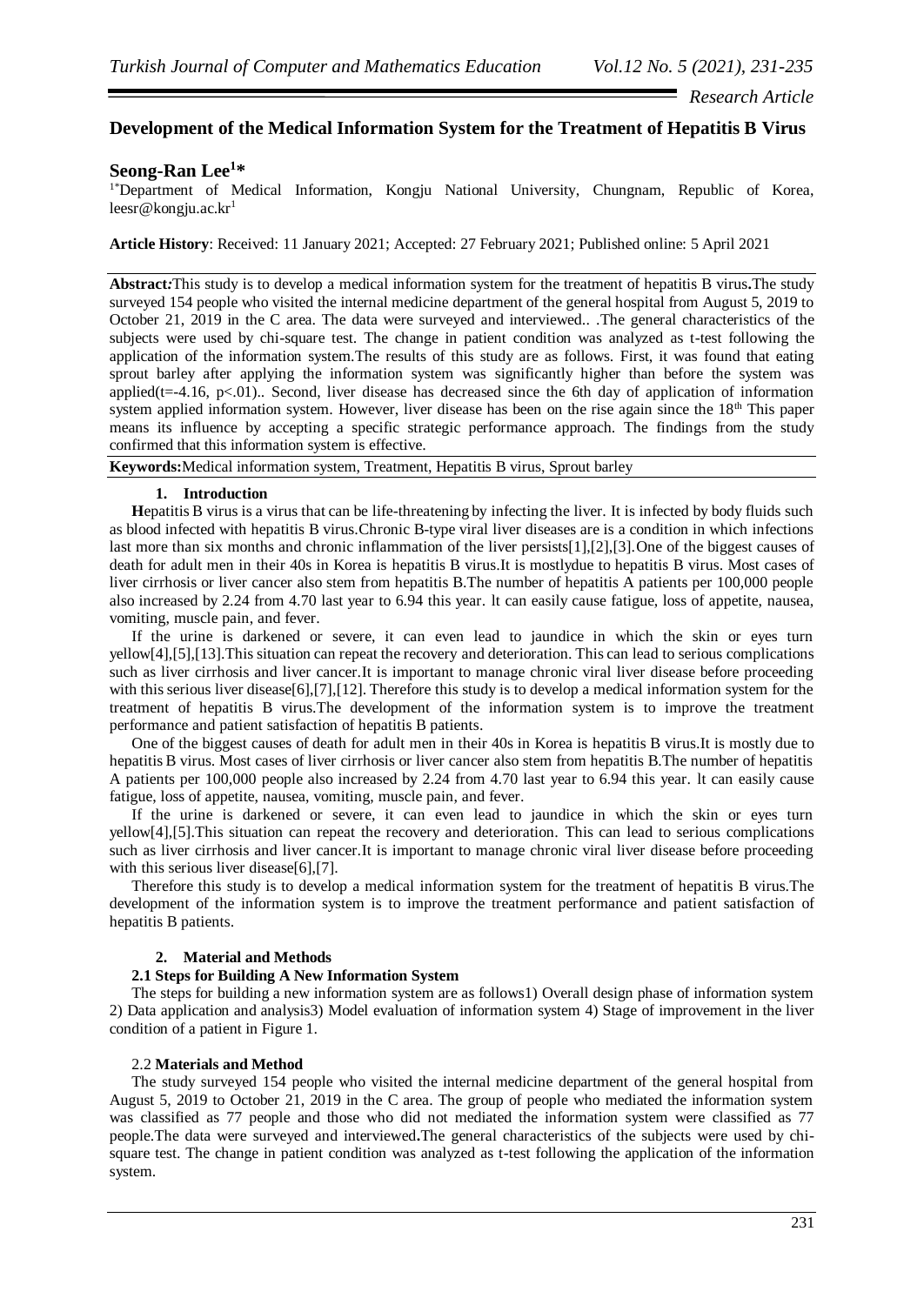*Research Article*

## **Development of the Medical Information System for the Treatment of Hepatitis B Virus**

# **Seong-Ran Lee<sup>1</sup> \***

<sup>1\*</sup>Department of Medical Information, Kongju National University, Chungnam, Republic of Korea,  $leesr@kongju.ac.kr<sup>1</sup>$ 

**Article History**: Received: 11 January 2021; Accepted: 27 February 2021; Published online: 5 April 2021

**Abstract***:*This study is to develop a medical information system for the treatment of hepatitis B virus**.**The study surveyed 154 people who visited the internal medicine department of the general hospital from August 5, 2019 to October 21, 2019 in the C area. The data were surveyed and interviewed.. .The general characteristics of the subjects were used by chi-square test. The change in patient condition was analyzed as t-test following the application of the information system.The results of this study are as follows. First, it was found that eating sprout barley after applying the information system was significantly higher than before the system was applied( $t=-4.16$ , p $\lt 0.01$ ).. Second, liver disease has decreased since the 6th day of application of information system applied information system. However, liver disease has been on the rise again since the 18<sup>th</sup> This paper means its influence by accepting a specific strategic performance approach. The findings from the study confirmed that this information system is effective.

**Keywords:**Medical information system, Treatment, Hepatitis B virus, Sprout barley

#### **1. Introduction**

**H**epatitis B virus is a virus that can be life-threatening by infecting the liver. It is infected by body fluids such as blood infected with hepatitis B virus.Chronic B-type viral liver diseases are is a condition in which infections last more than six months and chronic inflammation of the liver persists[1],[2],[3].One of the biggest causes of death for adult men in their 40s in Korea is hepatitis B virus.It is mostlydue to hepatitis B virus. Most cases of liver cirrhosis or liver cancer also stem from hepatitis B.The number of hepatitis A patients per 100,000 people also increased by 2.24 from 4.70 last year to 6.94 this year. lt can easily cause fatigue, loss of appetite, nausea, vomiting, muscle pain, and fever.

If the urine is darkened or severe, it can even lead to jaundice in which the skin or eyes turn yellow[4],[5],[13].This situation can repeat the recovery and deterioration. This can lead to serious complications such as liver cirrhosis and liver cancer.It is important to manage chronic viral liver disease before proceeding with this serious liver disease[6],[7],[12]. Therefore this study is to develop a medical information system for the treatment of hepatitis B virus.The development of the information system is to improve the treatment performance and patient satisfaction of hepatitis B patients.

One of the biggest causes of death for adult men in their 40s in Korea is hepatitis B virus.It is mostly due to hepatitis B virus. Most cases of liver cirrhosis or liver cancer also stem from hepatitis B.The number of hepatitis A patients per 100,000 people also increased by 2.24 from 4.70 last year to 6.94 this year. lt can easily cause fatigue, loss of appetite, nausea, vomiting, muscle pain, and fever.

If the urine is darkened or severe, it can even lead to jaundice in which the skin or eyes turn yellow[4],[5].This situation can repeat the recovery and deterioration. This can lead to serious complications such as liver cirrhosis and liver cancer.It is important to manage chronic viral liver disease before proceeding with this serious liver disease[6],[7].

Therefore this study is to develop a medical information system for the treatment of hepatitis B virus.The development of the information system is to improve the treatment performance and patient satisfaction of hepatitis B patients.

### **2. Material and Methods**

### **2.1 Steps for Building A New Information System**

The steps for building a new information system are as follows1) Overall design phase of information system 2) Data application and analysis3) Model evaluation of information system 4) Stage of improvement in the liver condition of a patient in Figure 1.

#### 2.2 **Materials and Method**

The study surveyed 154 people who visited the internal medicine department of the general hospital from August 5, 2019 to October 21, 2019 in the C area. The group of people who mediated the information system was classified as 77 people and those who did not mediated the information system were classified as 77 people.The data were surveyed and interviewed**.**The general characteristics of the subjects were used by chisquare test. The change in patient condition was analyzed as t-test following the application of the information system.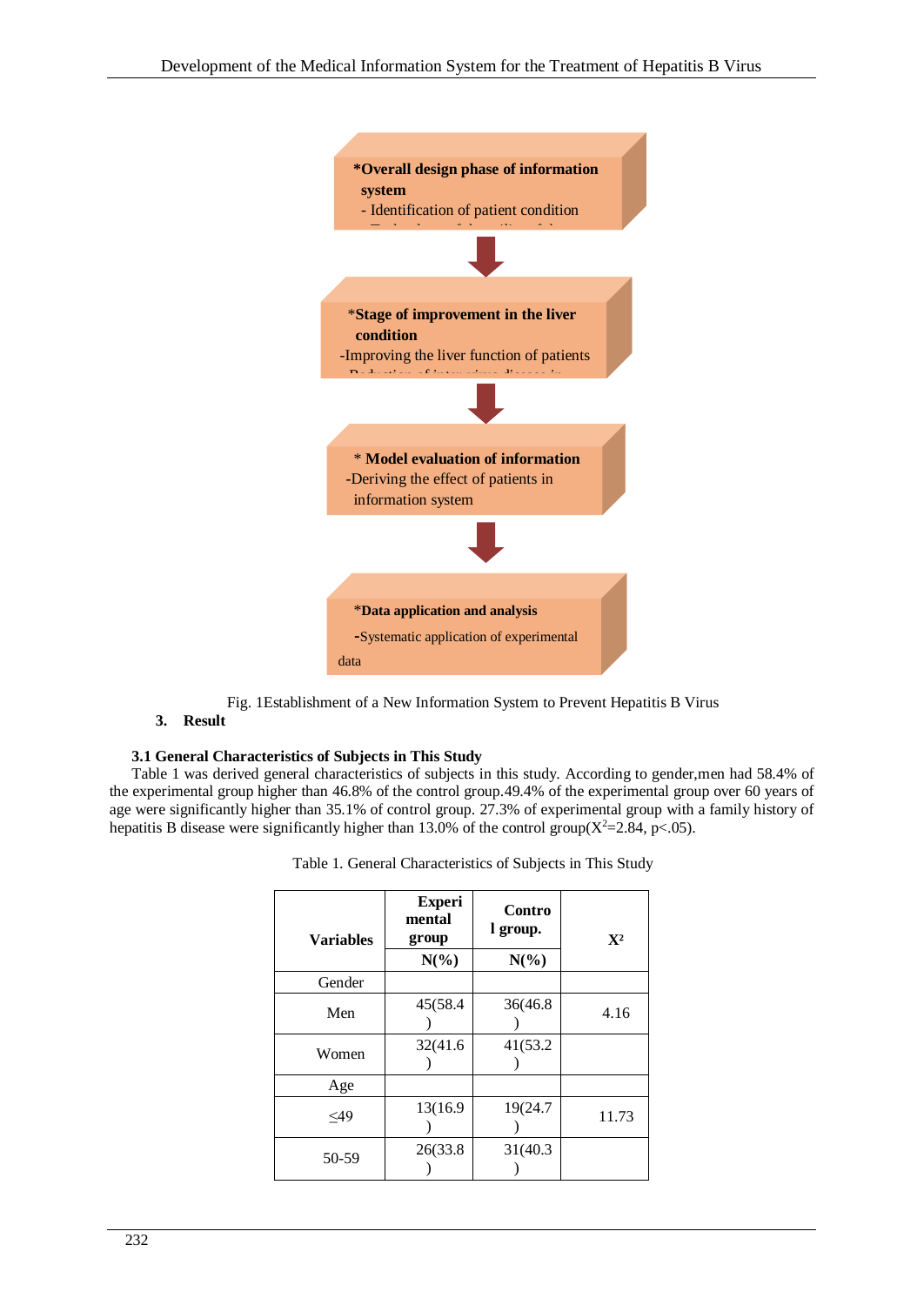

Fig. 1Establishment of a New Information System to Prevent Hepatitis B Virus

# **3. Result**

# **3.1 General Characteristics of Subjects in This Study**

Table 1 was derived general characteristics of subjects in this study. According to gender,men had 58.4% of the experimental group higher than 46.8% of the control group.49.4% of the experimental group over 60 years of age were significantly higher than 35.1% of control group. 27.3% of experimental group with a family history of hepatitis B disease were significantly higher than 13.0% of the control group( $X^2 = 2.84$ , p<.05).

| <b>Variables</b> | <b>Experi</b><br>mental<br>group | Contro<br>l group. | $X^2$ |
|------------------|----------------------------------|--------------------|-------|
|                  | $N(\%)$                          | $N(\%)$            |       |
| Gender           |                                  |                    |       |
| Men              | 45(58.4                          | 36(46.8)           | 4.16  |
| Women            | 32(41.6)                         | 41(53.2)           |       |
| Age              |                                  |                    |       |
| $<$ 49           | 13(16.9)                         | 19(24.7            | 11.73 |
| 50-59            | 26(33.8)                         | 31(40.3)           |       |

| Table 1. General Characteristics of Subjects in This Study |  |  |
|------------------------------------------------------------|--|--|
|------------------------------------------------------------|--|--|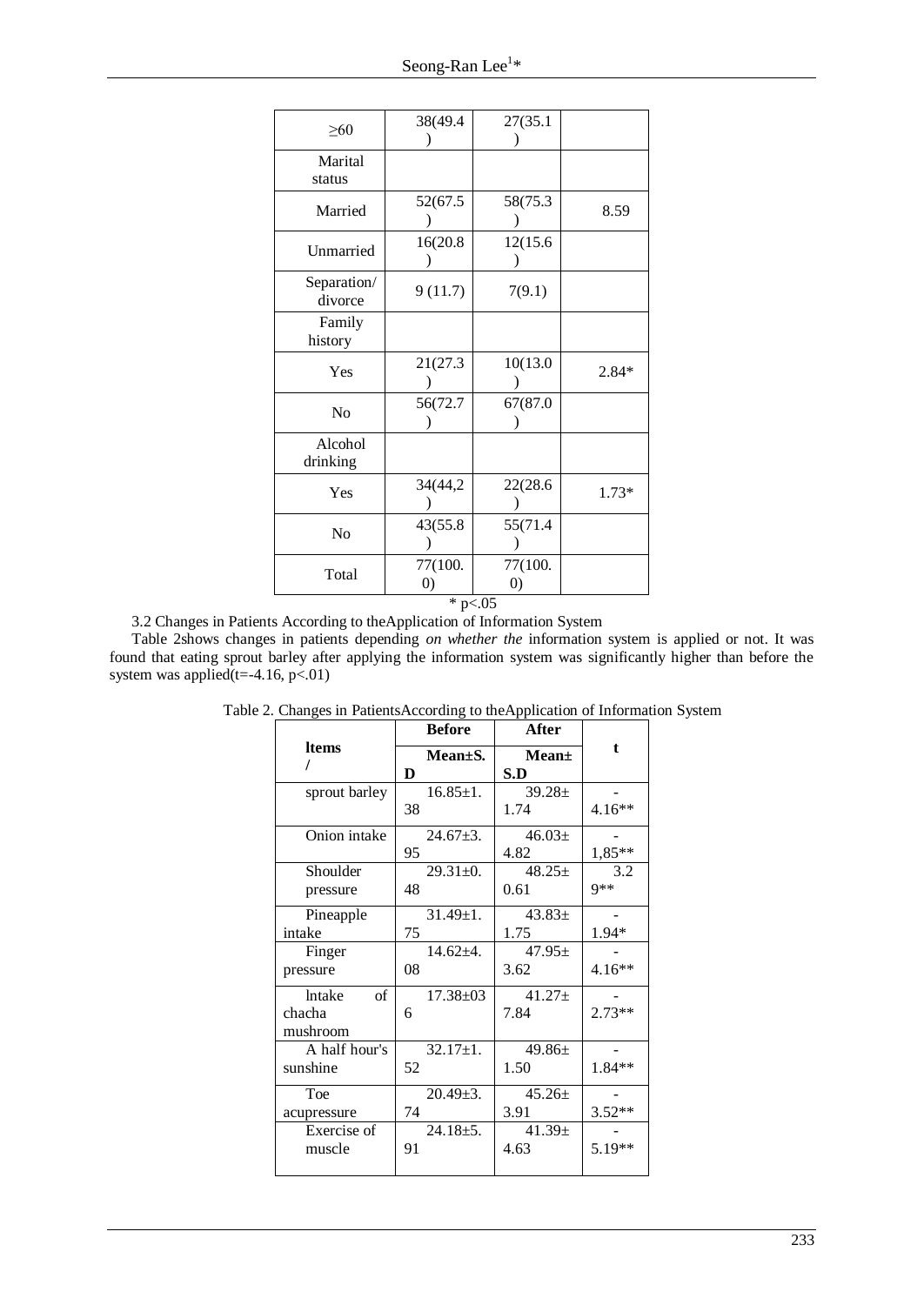| $\geq 60$              | 38(49.4                      | 27(35.1                      |         |
|------------------------|------------------------------|------------------------------|---------|
| Marital<br>status      |                              |                              |         |
| Married                | 52(67.5                      | 58(75.3                      | 8.59    |
| Unmarried              | 16(20.8)                     | 12(15.6                      |         |
| Separation/<br>divorce | 9(11.7)                      | 7(9.1)                       |         |
| Family<br>history      |                              |                              |         |
| Yes                    | 21(27.3                      | 10(13.0                      | $2.84*$ |
| No                     | 56(72.7                      | 67(87.0                      |         |
| Alcohol<br>drinking    |                              |                              |         |
| Yes                    | 34(44,2)                     | 22(28.6                      | $1.73*$ |
| No                     | 43(55.8)                     | 55(71.4)                     |         |
| Total                  | 77(100.<br>$\left( 0\right)$ | 77(100.<br>$\left( 0\right)$ |         |
|                        | * $p<.05$                    |                              |         |

3.2 Changes in Patients According to theApplication of Information System

Table 2shows changes in patients depending *on whether the* information system is applied or not. It was found that eating sprout barley after applying the information system was significantly higher than before the system was applied(t=-4.16,  $p<01$ )

|                     | <b>Before</b>  | After       |          |
|---------------------|----------------|-------------|----------|
| <b>Items</b>        | $Mean \pm S$ . | $Mean\pm$   | t        |
|                     | D              | S.D         |          |
| sprout barley       | $16.85 \pm 1.$ | $39.28 \pm$ |          |
|                     | 38             | 1.74        | 4.16**   |
| Onion intake        | $24.67 \pm 3.$ | $46.03 \pm$ |          |
|                     | 95             | 4.82        | 1,85**   |
| Shoulder            | $29.31 \pm 0.$ | $48.25 \pm$ | 3.2      |
| pressure            | 48             | 0.61        | $9**$    |
| Pineapple           | $31.49 \pm 1.$ | $43.83\pm$  |          |
| intake              | 75             | 1.75        | 1.94*    |
| Finger              | $14.62 + 4.$   | $47.95 \pm$ |          |
| pressure            | 08             | 3.62        | $4.16**$ |
| <b>lntake</b><br>of | $17.38 \pm 03$ | $41.27 \pm$ |          |
| chacha              | 6              | 7.84        | $2.73**$ |
| mushroom            |                |             |          |
| A half hour's       | $32.17 \pm 1.$ | $49.86 \pm$ |          |
| sunshine            | 52             | 1.50        | 1.84**   |
| Toe                 | $20.49 \pm 3.$ | $45.26 \pm$ |          |
| acupressure         | 74             | 3.91        | $3.52**$ |
| Exercise of         | $24.18 \pm 5.$ | $41.39 \pm$ |          |
| muscle              | 91             | 4.63        | $5.19**$ |
|                     |                |             |          |

Table 2. Changes in PatientsAccording to theApplication of Information System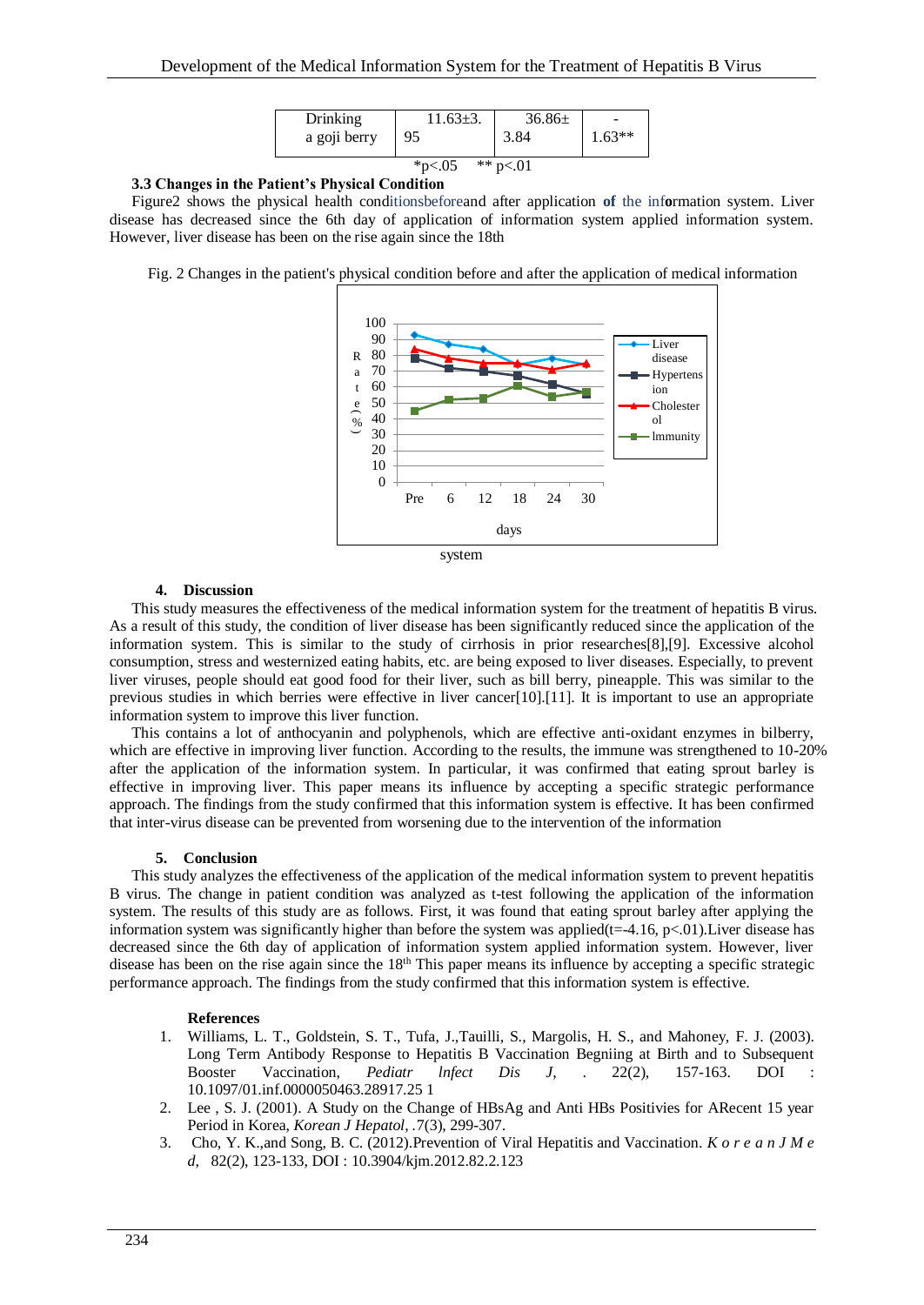| Drinking               | $11.63 \pm 3.$ | $36.86\pm$ | $1.63**$ |
|------------------------|----------------|------------|----------|
| a goji berry           | 95             | 3.84       |          |
| ** $p<01$<br>* $p<.05$ |                |            |          |

### **3.3 Changes in the Patient's Physical Condition**

Figure2 shows the physical health conditionsbeforeand after application **of** the inf**o**rmation system. Liver disease has decreased since the 6th day of application of information system applied information system. However, liver disease has been on the rise again since the 18th

Fig. 2 Changes in the patient's physical condition before and after the application of medical information





### **4. Discussion**

This study measures the effectiveness of the medical information system for the treatment of hepatitis B virus. As a result of this study, the condition of liver disease has been significantly reduced since the application of the information system. This is similar to the study of cirrhosis in prior researches[8],[9]. Excessive alcohol consumption, stress and westernized eating habits, etc. are being exposed to liver diseases. Especially, to prevent liver viruses, people should eat good food for their liver, such as bill berry, pineapple. This was similar to the previous studies in which berries were effective in liver cancer[10].[11]. It is important to use an appropriate information system to improve this liver function.

This contains a lot of anthocyanin and polyphenols, which are effective anti-oxidant enzymes in bilberry, which are effective in improving liver function. According to the results, the immune was strengthened to 10-20% after the application of the information system. In particular, it was confirmed that eating sprout barley is effective in improving liver. This paper means its influence by accepting a specific strategic performance approach. The findings from the study confirmed that this information system is effective. It has been confirmed that inter-virus disease can be prevented from worsening due to the intervention of the information

### **5. Conclusion**

This study analyzes the effectiveness of the application of the medical information system to prevent hepatitis B virus. The change in patient condition was analyzed as t-test following the application of the information system. The results of this study are as follows. First, it was found that eating sprout barley after applying the information system was significantly higher than before the system was applied( $t=-4.16$ , p $<01$ ). Liver disease has decreased since the 6th day of application of information system applied information system. However, liver disease has been on the rise again since the  $18<sup>th</sup>$  This paper means its influence by accepting a specific strategic performance approach. The findings from the study confirmed that this information system is effective.

### **References**

- 1. Williams, L. T., Goldstein, S. T., Tufa, J.,Tauilli, S., Margolis, H. S., and Mahoney, F. J. (2003). Long Term Antibody Response to Hepatitis B Vaccination Begniing at Birth and to Subsequent Booster Vaccination, *Pediatr lnfect Dis J*, . 22(2), 157-163. DOI : 10.1097/01.inf.0000050463.28917.25 1
- 2. Lee , S. J. (2001). A Study on the Change of HBsAg and Anti HBs Positivies for ARecent 15 year Period in Korea, *Korean J Hepatol, .*7(3), 299-307.
- 3. Cho, Y. K.,and Song, B. C. (2012).Prevention of Viral Hepatitis and Vaccination. *K o r e a n J M e d*, 82(2), 123-133, DOI : 10.3904/kjm.2012.82.2.123